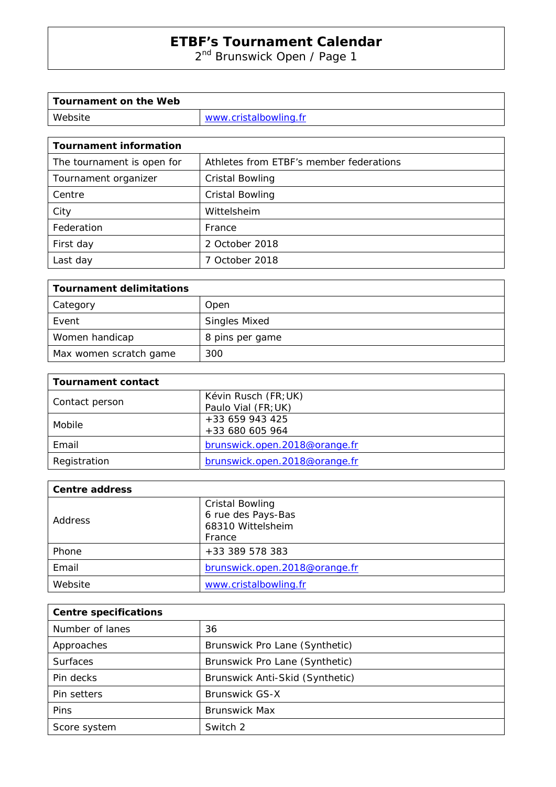2<sup>nd</sup> Brunswick Open / Page 1

| Tournament on the Web |                       |
|-----------------------|-----------------------|
| Website               | www.cristalbowling.fr |

| <b>Tournament information</b> |                                         |
|-------------------------------|-----------------------------------------|
| The tournament is open for    | Athletes from ETBF's member federations |
| Tournament organizer          | <b>Cristal Bowling</b>                  |
| Centre                        | <b>Cristal Bowling</b>                  |
| City                          | Wittelsheim                             |
| Federation                    | France                                  |
| First day                     | 2 October 2018                          |
| Last day                      | 7 October 2018                          |

| <b>Tournament delimitations</b> |                      |
|---------------------------------|----------------------|
| Category                        | Open                 |
| Event                           | <b>Singles Mixed</b> |
| Women handicap                  | 8 pins per game      |
| Max women scratch game          | 300                  |

| <b>Tournament contact</b> |                               |
|---------------------------|-------------------------------|
| Contact person            | Kévin Rusch (FR; UK)          |
|                           | Paulo Vial (FR; UK)           |
| Mobile                    | $+33659943425$                |
|                           | +33 680 605 964               |
| Email                     | brunswick.open.2018@orange.fr |
| Registration              | brunswick.open.2018@orange.fr |

| <b>Centre address</b> |                                                                             |
|-----------------------|-----------------------------------------------------------------------------|
| Address               | <b>Cristal Bowling</b><br>6 rue des Pays-Bas<br>68310 Wittelsheim<br>France |
| Phone                 | +33 389 578 383                                                             |
| Email                 | brunswick.open.2018@orange.fr                                               |
| Website               | www.cristalbowling.fr                                                       |

| <b>Centre specifications</b> |                                 |
|------------------------------|---------------------------------|
| Number of lanes              | 36                              |
| Approaches                   | Brunswick Pro Lane (Synthetic)  |
| <b>Surfaces</b>              | Brunswick Pro Lane (Synthetic)  |
| Pin decks                    | Brunswick Anti-Skid (Synthetic) |
| Pin setters                  | <b>Brunswick GS-X</b>           |
| Pins                         | <b>Brunswick Max</b>            |
| Score system                 | Switch 2                        |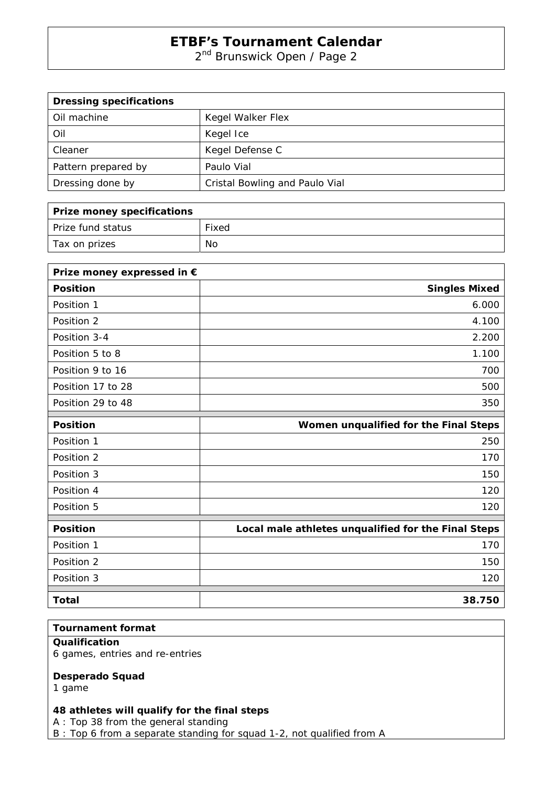2<sup>nd</sup> Brunswick Open / Page 2

| <b>Dressing specifications</b> |                                |
|--------------------------------|--------------------------------|
| Oil machine                    | Kegel Walker Flex              |
| Oil                            | Kegel Ice                      |
| Cleaner                        | Kegel Defense C                |
| Pattern prepared by            | Paulo Vial                     |
| Dressing done by               | Cristal Bowling and Paulo Vial |

| Prize money specifications |       |
|----------------------------|-------|
| Prize fund status          | Fixed |
| Tax on prizes              | No    |

| Prize money expressed in € |                                                     |
|----------------------------|-----------------------------------------------------|
| <b>Position</b>            | <b>Singles Mixed</b>                                |
| Position 1                 | 6.000                                               |
| Position 2                 | 4.100                                               |
| Position 3-4               | 2.200                                               |
| Position 5 to 8            | 1.100                                               |
| Position 9 to 16           | 700                                                 |
| Position 17 to 28          | 500                                                 |
| Position 29 to 48          | 350                                                 |
| <b>Position</b>            | Women unqualified for the Final Steps               |
| Position 1                 | 250                                                 |
| Position 2                 | 170                                                 |
| Position 3                 | 150                                                 |
| Position 4                 | 120                                                 |
| Position 5                 | 120                                                 |
| <b>Position</b>            | Local male athletes unqualified for the Final Steps |
| Position 1                 | 170                                                 |
| Position 2                 | 150                                                 |
| Position 3                 | 120                                                 |
| <b>Total</b>               | 38.750                                              |

## **Tournament format**

## **Qualification**

6 games, entries and re-entries

#### **Desperado Squad**

1 game

## **48 athletes will qualify for the final steps**

A : Top 38 from the general standing

B : Top 6 from a separate standing for squad 1-2, not qualified from A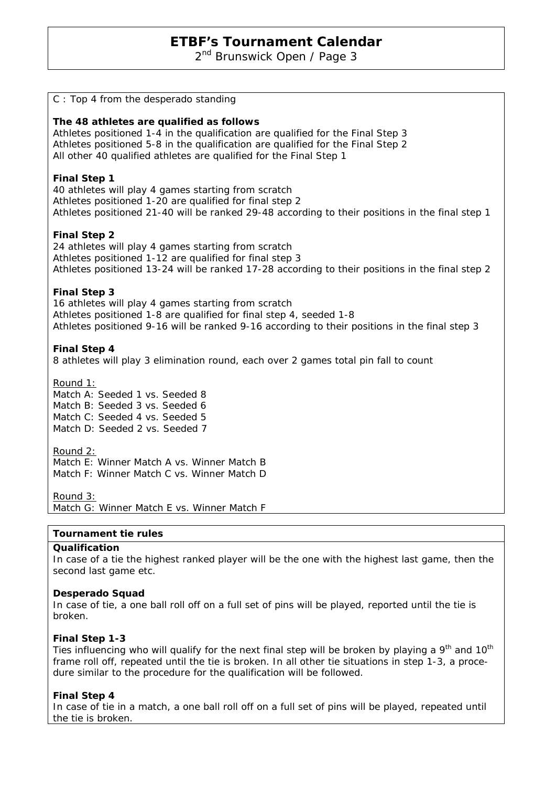2<sup>nd</sup> Brunswick Open / Page 3

| C: Top 4 from the desperado standing                                                                                                                                                                                                                                                 |
|--------------------------------------------------------------------------------------------------------------------------------------------------------------------------------------------------------------------------------------------------------------------------------------|
| The 48 athletes are qualified as follows<br>Athletes positioned 1-4 in the qualification are qualified for the Final Step 3<br>Athletes positioned 5-8 in the qualification are qualified for the Final Step 2<br>All other 40 qualified athletes are qualified for the Final Step 1 |
| <b>Final Step 1</b><br>40 athletes will play 4 games starting from scratch<br>Athletes positioned 1-20 are qualified for final step 2<br>Athletes positioned 21-40 will be ranked 29-48 according to their positions in the final step 1                                             |
| <b>Final Step 2</b><br>24 athletes will play 4 games starting from scratch<br>Athletes positioned 1-12 are qualified for final step 3<br>Athletes positioned 13-24 will be ranked 17-28 according to their positions in the final step 2                                             |
| <b>Final Step 3</b><br>16 athletes will play 4 games starting from scratch<br>Athletes positioned 1-8 are qualified for final step 4, seeded 1-8<br>Athletes positioned 9-16 will be ranked 9-16 according to their positions in the final step 3                                    |
| <b>Final Step 4</b><br>8 athletes will play 3 elimination round, each over 2 games total pin fall to count                                                                                                                                                                           |
| Round 1:<br>Match A: Seeded 1 vs. Seeded 8<br>Match B: Seeded 3 vs. Seeded 6<br>Match C: Seeded 4 vs. Seeded 5<br>Match D: Seeded 2 vs. Seeded 7                                                                                                                                     |
| Round 2:<br>Match E: Winner Match A vs. Winner Match B<br>Match F: Winner Match C vs. Winner Match D                                                                                                                                                                                 |
| Round $3:$<br>Match G: Winner Match E vs. Winner Match F                                                                                                                                                                                                                             |
| Tournament tie rules                                                                                                                                                                                                                                                                 |
| Qualification                                                                                                                                                                                                                                                                        |

In case of a tie the highest ranked player will be the one with the highest last game, then the second last game etc.

#### **Desperado Squad**

In case of tie, a one ball roll off on a full set of pins will be played, reported until the tie is broken.

#### **Final Step 1-3**

Ties influencing who will qualify for the next final step will be broken by playing a 9<sup>th</sup> and 10<sup>th</sup> frame roll off, repeated until the tie is broken. In all other tie situations in step 1-3, a procedure similar to the procedure for the qualification will be followed.

#### **Final Step 4**

In case of tie in a match, a one ball roll off on a full set of pins will be played, repeated until the tie is broken.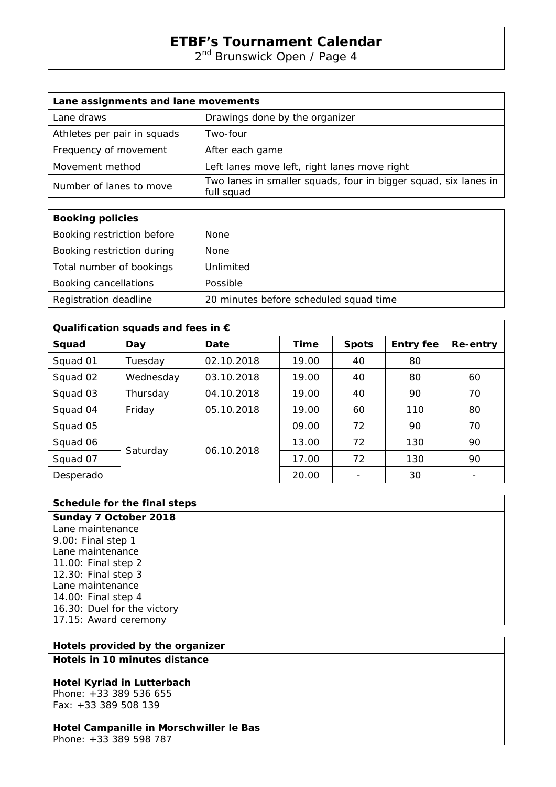2<sup>nd</sup> Brunswick Open / Page 4

| Lane assignments and lane movements |                                                                               |
|-------------------------------------|-------------------------------------------------------------------------------|
| Lane draws                          | Drawings done by the organizer                                                |
| Athletes per pair in squads         | Two-four                                                                      |
| Frequency of movement               | After each game                                                               |
| Movement method                     | Left lanes move left, right lanes move right                                  |
| Number of lanes to move             | Two lanes in smaller squads, four in bigger squad, six lanes in<br>full squad |

| <b>Booking policies</b>    |                                        |
|----------------------------|----------------------------------------|
| Booking restriction before | None                                   |
| Booking restriction during | None                                   |
| Total number of bookings   | Unlimited                              |
| Booking cancellations      | Possible                               |
| Registration deadline      | 20 minutes before scheduled squad time |

| Qualification squads and fees in $\epsilon$ |           |            |             |              |                  |          |  |
|---------------------------------------------|-----------|------------|-------------|--------------|------------------|----------|--|
| Squad                                       | Day       | Date       | <b>Time</b> | <b>Spots</b> | <b>Entry fee</b> | Re-entry |  |
| Squad 01                                    | Tuesday   | 02.10.2018 | 19.00       | 40           | 80               |          |  |
| Squad 02                                    | Wednesday | 03.10.2018 | 19.00       | 40           | 80               | 60       |  |
| Squad 03                                    | Thursday  | 04.10.2018 | 19.00       | 40           | 90               | 70       |  |
| Squad 04                                    | Friday    | 05.10.2018 | 19.00       | 60           | 110              | 80       |  |
| Squad 05                                    | Saturday  | 06.10.2018 | 09.00       | 72           | 90               | 70       |  |
| Squad 06                                    |           |            | 13.00       | 72           | 130              | 90       |  |
| Squad 07                                    |           |            | 17.00       | 72           | 130              | 90       |  |
| Desperado                                   |           |            | 20.00       |              | 30               |          |  |

| Schedule for the final steps |  |
|------------------------------|--|
| Sunday 7 October 2018        |  |
| Lane maintenance             |  |
| 9.00: Final step 1           |  |
| Lane maintenance             |  |
| 11.00: Final step 2          |  |
| 12.30: Final step 3          |  |
| Lane maintenance             |  |
| 14.00: Final step 4          |  |
| 16.30: Duel for the victory  |  |
| 17.15: Award ceremony        |  |
|                              |  |

## **Hotels provided by the organizer**

**Hotels in 10 minutes distance** 

## **Hotel Kyriad in Lutterbach**

Phone: +33 389 536 655 Fax: +33 389 508 139

# **Hotel Campanille in Morschwiller le Bas**

Phone: +33 389 598 787